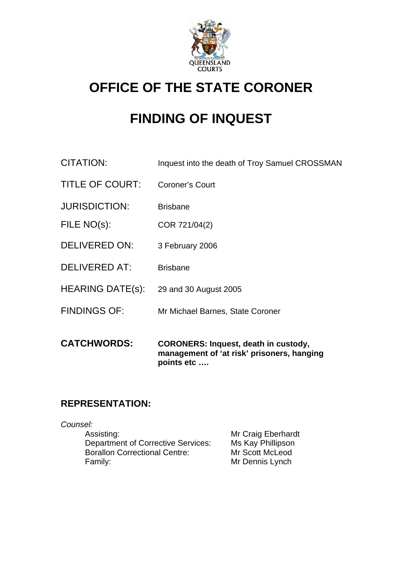

## **OFFICE OF THE STATE CORONER**

# **FINDING OF INQUEST**

- CITATION: Inquest into the death of Troy Samuel CROSSMAN
- TITLE OF COURT: Coroner's Court
- JURISDICTION: Brisbane
- FILE NO(s): COR 721/04(2)
- DELIVERED ON: 3 February 2006
- DELIVERED AT: Brisbane
- HEARING DATE(s): 29 and 30 August 2005
- FINDINGS OF: Mr Michael Barnes, State Coroner
- **CATCHWORDS: CORONERS: Inquest, death in custody, management of 'at risk' prisoners, hanging points etc ….**

## **REPRESENTATION:**

*Counsel:* 

Assisting: Mr Craig Eberhardt Department of Corrective Services: Ms Kay Phillipson Borallon Correctional Centre: Mr Scott McLeod Family: **Family:** Mr Dennis Lynch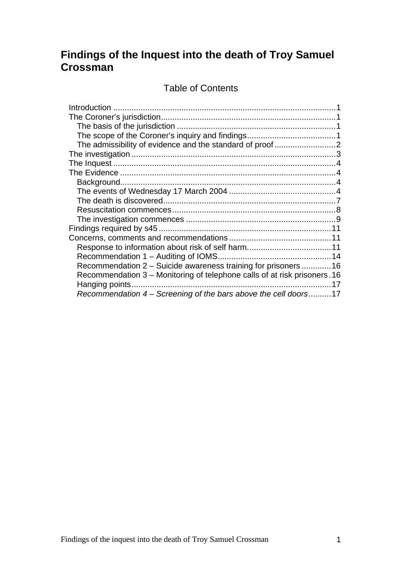## **Findings of the Inquest into the death of Troy Samuel Crossman**

Table of Contents

| Recommendation 2 – Suicide awareness training for prisoners 16            |    |
|---------------------------------------------------------------------------|----|
| Recommendation 3 – Monitoring of telephone calls of at risk prisoners. 16 |    |
|                                                                           | 17 |
| Recommendation 4 – Screening of the bars above the cell doors17           |    |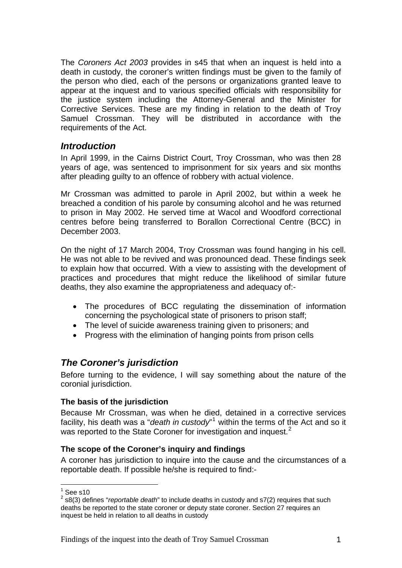<span id="page-2-0"></span>The *Coroners Act 2003* provides in s45 that when an inquest is held into a death in custody, the coroner's written findings must be given to the family of the person who died, each of the persons or organizations granted leave to appear at the inquest and to various specified officials with responsibility for the justice system including the Attorney-General and the Minister for Corrective Services. These are my finding in relation to the death of Troy Samuel Crossman. They will be distributed in accordance with the requirements of the Act.

## *Introduction*

In April 1999, in the Cairns District Court, Troy Crossman, who was then 28 years of age, was sentenced to imprisonment for six years and six months after pleading guilty to an offence of robbery with actual violence.

Mr Crossman was admitted to parole in April 2002, but within a week he breached a condition of his parole by consuming alcohol and he was returned to prison in May 2002. He served time at Wacol and Woodford correctional centres before being transferred to Borallon Correctional Centre (BCC) in December 2003.

On the night of 17 March 2004, Troy Crossman was found hanging in his cell. He was not able to be revived and was pronounced dead. These findings seek to explain how that occurred. With a view to assisting with the development of practices and procedures that might reduce the likelihood of similar future deaths, they also examine the appropriateness and adequacy of:-

- The procedures of BCC regulating the dissemination of information concerning the psychological state of prisoners to prison staff;
- The level of suicide awareness training given to prisoners; and
- Progress with the elimination of hanging points from prison cells

## *The Coroner's jurisdiction*

Before turning to the evidence, I will say something about the nature of the coronial jurisdiction.

#### **The basis of the jurisdiction**

Because Mr Crossman, was when he died, detained in a corrective services facility, his death was a "*death in custody*"<sup>[1](#page-2-1)</sup> within the terms of the Act and so it was reported to the State Coroner for investigation and inquest.<sup>[2](#page-2-2)</sup>

#### **The scope of the Coroner's inquiry and findings**

A coroner has jurisdiction to inquire into the cause and the circumstances of a reportable death. If possible he/she is required to find:-

 $\frac{1}{1}$ See s10

<span id="page-2-2"></span><span id="page-2-1"></span><sup>2</sup> s8(3) defines "*reportable death*" to include deaths in custody and s7(2) requires that such deaths be reported to the state coroner or deputy state coroner. Section 27 requires an inquest be held in relation to all deaths in custody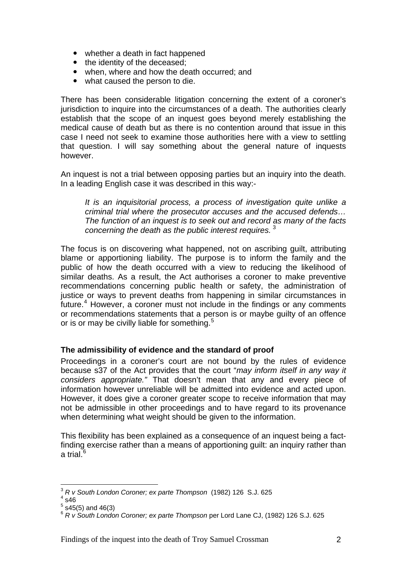- <span id="page-3-0"></span>• whether a death in fact happened
- the identity of the deceased;
- when, where and how the death occurred; and
- what caused the person to die.

There has been considerable litigation concerning the extent of a coroner's jurisdiction to inquire into the circumstances of a death. The authorities clearly establish that the scope of an inquest goes beyond merely establishing the medical cause of death but as there is no contention around that issue in this case I need not seek to examine those authorities here with a view to settling that question. I will say something about the general nature of inquests however.

An inquest is not a trial between opposing parties but an inquiry into the death. In a leading English case it was described in this way:-

*It is an inquisitorial process, a process of investigation quite unlike a criminal trial where the prosecutor accuses and the accused defends… The function of an inquest is to seek out and record as many of the facts concerning the death as the public interest requires.* [3](#page-3-1)

The focus is on discovering what happened, not on ascribing guilt, attributing blame or apportioning liability. The purpose is to inform the family and the public of how the death occurred with a view to reducing the likelihood of similar deaths. As a result, the Act authorises a coroner to make preventive recommendations concerning public health or safety, the administration of justice or ways to prevent deaths from happening in similar circumstances in future.<sup>[4](#page-3-2)</sup> However, a coroner must not include in the findings or any comments or recommendations statements that a person is or maybe guilty of an offence or is or may be civilly liable for something.<sup>[5](#page-3-3)</sup>

#### **The admissibility of evidence and the standard of proof**

Proceedings in a coroner's court are not bound by the rules of evidence because s37 of the Act provides that the court "*may inform itself in any way it considers appropriate."* That doesn't mean that any and every piece of information however unreliable will be admitted into evidence and acted upon. However, it does give a coroner greater scope to receive information that may not be admissible in other proceedings and to have regard to its provenance when determining what weight should be given to the information.

This flexibility has been explained as a consequence of an inquest being a factfinding exercise rather than a means of apportioning guilt: an inquiry rather than a trial. $6$ 

1

<span id="page-3-1"></span><sup>3</sup> *R v South London Coroner; ex parte Thompson* (1982) 126 S.J. 625 4

<span id="page-3-2"></span> $4$  s46

 $5$  s45(5) and 46(3)

<span id="page-3-4"></span><span id="page-3-3"></span><sup>6</sup> *R v South London Coroner; ex parte Thompson* per Lord Lane CJ, (1982) 126 S.J. 625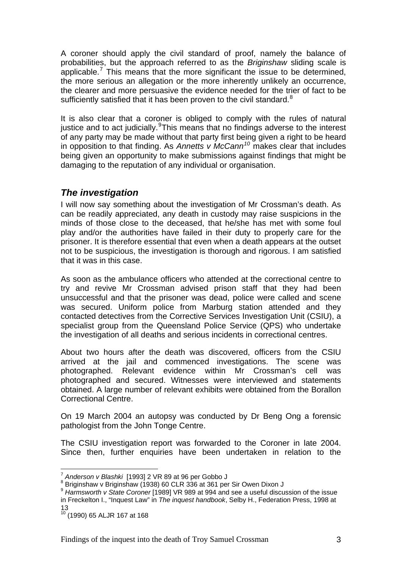<span id="page-4-0"></span>A coroner should apply the civil standard of proof, namely the balance of probabilities, but the approach referred to as the *Briginshaw* sliding scale is applicable.<sup>[7](#page-4-1)</sup> This means that the more significant the issue to be determined, the more serious an allegation or the more inherently unlikely an occurrence, the clearer and more persuasive the evidence needed for the trier of fact to be sufficiently satisfied that it has been proven to the civil standard. $8$ 

It is also clear that a coroner is obliged to comply with the rules of natural justice and to act judicially. This means that no findings adverse to the interest of any party may be made without that party first being given a right to be heard in opposition to that finding. As *Annetts v McCann[10](#page-4-4)* makes clear that includes being given an opportunity to make submissions against findings that might be damaging to the reputation of any individual or organisation.

## *The investigation*

I will now say something about the investigation of Mr Crossman's death. As can be readily appreciated, any death in custody may raise suspicions in the minds of those close to the deceased, that he/she has met with some foul play and/or the authorities have failed in their duty to properly care for the prisoner. It is therefore essential that even when a death appears at the outset not to be suspicious, the investigation is thorough and rigorous. I am satisfied that it was in this case.

As soon as the ambulance officers who attended at the correctional centre to try and revive Mr Crossman advised prison staff that they had been unsuccessful and that the prisoner was dead, police were called and scene was secured. Uniform police from Marburg station attended and they contacted detectives from the Corrective Services Investigation Unit (CSIU), a specialist group from the Queensland Police Service (QPS) who undertake the investigation of all deaths and serious incidents in correctional centres.

About two hours after the death was discovered, officers from the CSIU arrived at the jail and commenced investigations. The scene was photographed. Relevant evidence within Mr Crossman's cell was photographed and secured. Witnesses were interviewed and statements obtained. A large number of relevant exhibits were obtained from the Borallon Correctional Centre.

On 19 March 2004 an autopsy was conducted by Dr Beng Ong a forensic pathologist from the John Tonge Centre.

The CSIU investigation report was forwarded to the Coroner in late 2004. Since then, further enquiries have been undertaken in relation to the

1

<sup>&</sup>lt;sup>7</sup> Anderson v Blashki [1993] 2 VR 89 at 96 per Gobbo J<br><sup>8</sup> Priginshow v Briginshow (1938) 60 GLB 336 at 361 per

<span id="page-4-2"></span><span id="page-4-1"></span><sup>&</sup>lt;sup>8</sup> Briginshaw v Briginshaw (1938) 60 CLR 336 at 361 per Sir Owen Dixon J

<span id="page-4-3"></span><sup>9</sup> *Harmsworth v State Coroner* [1989] VR 989 at 994 and see a useful discussion of the issue in Freckelton I., "Inquest Law" in *The inquest handbook*, Selby H., Federation Press, 1998 at 13

<span id="page-4-4"></span><sup>10 (1990) 65</sup> ALJR 167 at 168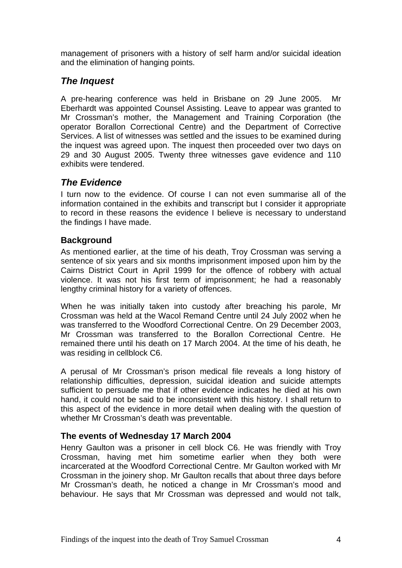<span id="page-5-0"></span>management of prisoners with a history of self harm and/or suicidal ideation and the elimination of hanging points.

## *The Inquest*

A pre-hearing conference was held in Brisbane on 29 June 2005. Mr Eberhardt was appointed Counsel Assisting. Leave to appear was granted to Mr Crossman's mother, the Management and Training Corporation (the operator Borallon Correctional Centre) and the Department of Corrective Services. A list of witnesses was settled and the issues to be examined during the inquest was agreed upon. The inquest then proceeded over two days on 29 and 30 August 2005. Twenty three witnesses gave evidence and 110 exhibits were tendered.

## *The Evidence*

I turn now to the evidence. Of course I can not even summarise all of the information contained in the exhibits and transcript but I consider it appropriate to record in these reasons the evidence I believe is necessary to understand the findings I have made.

## **Background**

As mentioned earlier, at the time of his death, Troy Crossman was serving a sentence of six years and six months imprisonment imposed upon him by the Cairns District Court in April 1999 for the offence of robbery with actual violence. It was not his first term of imprisonment; he had a reasonably lengthy criminal history for a variety of offences.

When he was initially taken into custody after breaching his parole, Mr Crossman was held at the Wacol Remand Centre until 24 July 2002 when he was transferred to the Woodford Correctional Centre. On 29 December 2003, Mr Crossman was transferred to the Borallon Correctional Centre. He remained there until his death on 17 March 2004. At the time of his death, he was residing in cellblock C6.

A perusal of Mr Crossman's prison medical file reveals a long history of relationship difficulties, depression, suicidal ideation and suicide attempts sufficient to persuade me that if other evidence indicates he died at his own hand, it could not be said to be inconsistent with this history. I shall return to this aspect of the evidence in more detail when dealing with the question of whether Mr Crossman's death was preventable.

## **The events of Wednesday 17 March 2004**

Henry Gaulton was a prisoner in cell block C6. He was friendly with Troy Crossman, having met him sometime earlier when they both were incarcerated at the Woodford Correctional Centre. Mr Gaulton worked with Mr Crossman in the joinery shop. Mr Gaulton recalls that about three days before Mr Crossman's death, he noticed a change in Mr Crossman's mood and behaviour. He says that Mr Crossman was depressed and would not talk,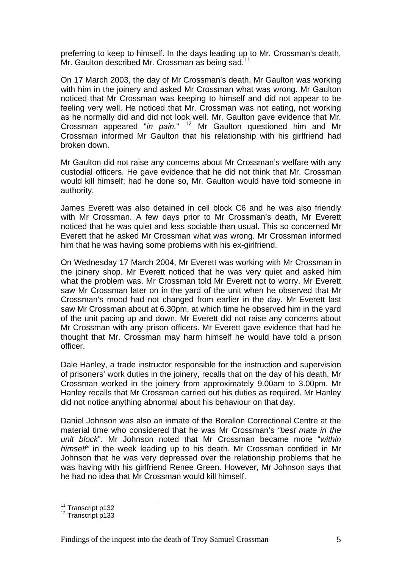preferring to keep to himself. In the days leading up to Mr. Crossman's death, Mr. Gaulton described Mr. Crossman as being sad.<sup>[11](#page-6-0)</sup>

On 17 March 2003, the day of Mr Crossman's death, Mr Gaulton was working with him in the joinery and asked Mr Crossman what was wrong. Mr Gaulton noticed that Mr Crossman was keeping to himself and did not appear to be feeling very well. He noticed that Mr. Crossman was not eating, not working as he normally did and did not look well. Mr. Gaulton gave evidence that Mr. Crossman appeared "*in pain.*" [12](#page-6-1) Mr Gaulton questioned him and Mr Crossman informed Mr Gaulton that his relationship with his girlfriend had broken down.

Mr Gaulton did not raise any concerns about Mr Crossman's welfare with any custodial officers. He gave evidence that he did not think that Mr. Crossman would kill himself; had he done so, Mr. Gaulton would have told someone in authority.

James Everett was also detained in cell block C6 and he was also friendly with Mr Crossman. A few days prior to Mr Crossman's death, Mr Everett noticed that he was quiet and less sociable than usual. This so concerned Mr Everett that he asked Mr Crossman what was wrong. Mr Crossman informed him that he was having some problems with his ex-girlfriend.

On Wednesday 17 March 2004, Mr Everett was working with Mr Crossman in the joinery shop. Mr Everett noticed that he was very quiet and asked him what the problem was. Mr Crossman told Mr Everett not to worry. Mr Everett saw Mr Crossman later on in the yard of the unit when he observed that Mr Crossman's mood had not changed from earlier in the day. Mr Everett last saw Mr Crossman about at 6.30pm, at which time he observed him in the yard of the unit pacing up and down. Mr Everett did not raise any concerns about Mr Crossman with any prison officers. Mr Everett gave evidence that had he thought that Mr. Crossman may harm himself he would have told a prison officer.

Dale Hanley, a trade instructor responsible for the instruction and supervision of prisoners' work duties in the joinery, recalls that on the day of his death, Mr Crossman worked in the joinery from approximately 9.00am to 3.00pm. Mr Hanley recalls that Mr Crossman carried out his duties as required. Mr Hanley did not notice anything abnormal about his behaviour on that day.

Daniel Johnson was also an inmate of the Borallon Correctional Centre at the material time who considered that he was Mr Crossman's *"best mate in the unit block*". Mr Johnson noted that Mr Crossman became more "*within himself"* in the week leading up to his death. Mr Crossman confided in Mr Johnson that he was very depressed over the relationship problems that he was having with his girlfriend Renee Green. However, Mr Johnson says that he had no idea that Mr Crossman would kill himself.

<sup>&</sup>lt;sup>11</sup> Transcript p132

<span id="page-6-1"></span><span id="page-6-0"></span><sup>&</sup>lt;sup>12</sup> Transcript p133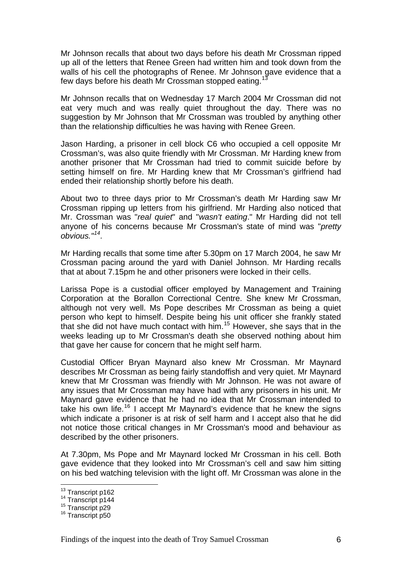Mr Johnson recalls that about two days before his death Mr Crossman ripped up all of the letters that Renee Green had written him and took down from the walls of his cell the photographs of Renee. Mr Johnson gave evidence that a few days before his death Mr Crossman stopped eating.<sup>[13](#page-7-0)</sup>

Mr Johnson recalls that on Wednesday 17 March 2004 Mr Crossman did not eat very much and was really quiet throughout the day. There was no suggestion by Mr Johnson that Mr Crossman was troubled by anything other than the relationship difficulties he was having with Renee Green.

Jason Harding, a prisoner in cell block C6 who occupied a cell opposite Mr Crossman's, was also quite friendly with Mr Crossman. Mr Harding knew from another prisoner that Mr Crossman had tried to commit suicide before by setting himself on fire. Mr Harding knew that Mr Crossman's girlfriend had ended their relationship shortly before his death.

About two to three days prior to Mr Crossman's death Mr Harding saw Mr Crossman ripping up letters from his girlfriend. Mr Harding also noticed that Mr. Crossman was "*real quiet*" and "*wasn't eating*." Mr Harding did not tell anyone of his concerns because Mr Crossman's state of mind was "*pretty obvious."[14](#page-7-1).* 

Mr Harding recalls that some time after 5.30pm on 17 March 2004, he saw Mr Crossman pacing around the yard with Daniel Johnson. Mr Harding recalls that at about 7.15pm he and other prisoners were locked in their cells.

Larissa Pope is a custodial officer employed by Management and Training Corporation at the Borallon Correctional Centre. She knew Mr Crossman, although not very well. Ms Pope describes Mr Crossman as being a quiet person who kept to himself. Despite being his unit officer she frankly stated that she did not have much contact with him.[15](#page-7-2) However, she says that in the weeks leading up to Mr Crossman's death she observed nothing about him that gave her cause for concern that he might self harm.

Custodial Officer Bryan Maynard also knew Mr Crossman. Mr Maynard describes Mr Crossman as being fairly standoffish and very quiet. Mr Maynard knew that Mr Crossman was friendly with Mr Johnson. He was not aware of any issues that Mr Crossman may have had with any prisoners in his unit. Mr Maynard gave evidence that he had no idea that Mr Crossman intended to take his own life.<sup>[16](#page-7-3)</sup> I accept Mr Maynard's evidence that he knew the signs which indicate a prisoner is at risk of self harm and I accept also that he did not notice those critical changes in Mr Crossman's mood and behaviour as described by the other prisoners.

At 7.30pm, Ms Pope and Mr Maynard locked Mr Crossman in his cell. Both gave evidence that they looked into Mr Crossman's cell and saw him sitting on his bed watching television with the light off. Mr Crossman was alone in the

<span id="page-7-0"></span><sup>&</sup>lt;sup>13</sup> Transcript p162

<span id="page-7-2"></span><span id="page-7-1"></span><sup>&</sup>lt;sup>14</sup> Transcript p144<br><sup>15</sup> Transcript p29<br><sup>16</sup> Transcript p50

<span id="page-7-3"></span>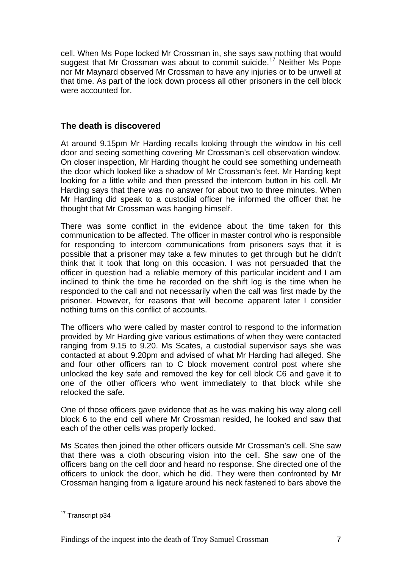<span id="page-8-0"></span>cell. When Ms Pope locked Mr Crossman in, she says saw nothing that would suggest that Mr Crossman was about to commit suicide.<sup>[17](#page-8-1)</sup> Neither Ms Pope nor Mr Maynard observed Mr Crossman to have any injuries or to be unwell at that time. As part of the lock down process all other prisoners in the cell block were accounted for.

## **The death is discovered**

At around 9.15pm Mr Harding recalls looking through the window in his cell door and seeing something covering Mr Crossman's cell observation window. On closer inspection, Mr Harding thought he could see something underneath the door which looked like a shadow of Mr Crossman's feet. Mr Harding kept looking for a little while and then pressed the intercom button in his cell. Mr Harding says that there was no answer for about two to three minutes. When Mr Harding did speak to a custodial officer he informed the officer that he thought that Mr Crossman was hanging himself.

There was some conflict in the evidence about the time taken for this communication to be affected. The officer in master control who is responsible for responding to intercom communications from prisoners says that it is possible that a prisoner may take a few minutes to get through but he didn't think that it took that long on this occasion. I was not persuaded that the officer in question had a reliable memory of this particular incident and I am inclined to think the time he recorded on the shift log is the time when he responded to the call and not necessarily when the call was first made by the prisoner. However, for reasons that will become apparent later I consider nothing turns on this conflict of accounts.

The officers who were called by master control to respond to the information provided by Mr Harding give various estimations of when they were contacted ranging from 9.15 to 9.20. Ms Scates, a custodial supervisor says she was contacted at about 9.20pm and advised of what Mr Harding had alleged. She and four other officers ran to C block movement control post where she unlocked the key safe and removed the key for cell block C6 and gave it to one of the other officers who went immediately to that block while she relocked the safe.

One of those officers gave evidence that as he was making his way along cell block 6 to the end cell where Mr Crossman resided, he looked and saw that each of the other cells was properly locked.

Ms Scates then joined the other officers outside Mr Crossman's cell. She saw that there was a cloth obscuring vision into the cell. She saw one of the officers bang on the cell door and heard no response. She directed one of the officers to unlock the door, which he did. They were then confronted by Mr Crossman hanging from a ligature around his neck fastened to bars above the

<span id="page-8-1"></span><sup>1</sup> <sup>17</sup> Transcript p34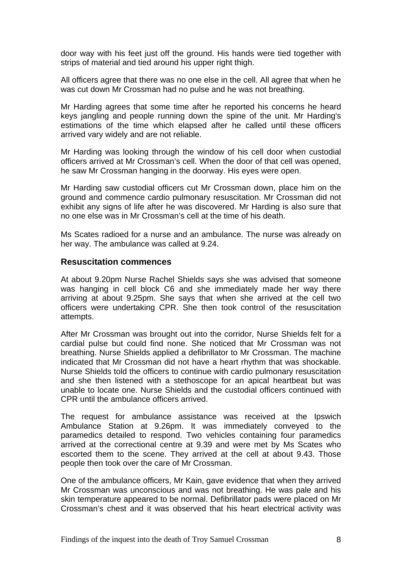<span id="page-9-0"></span>door way with his feet just off the ground. His hands were tied together with strips of material and tied around his upper right thigh.

All officers agree that there was no one else in the cell. All agree that when he was cut down Mr Crossman had no pulse and he was not breathing.

Mr Harding agrees that some time after he reported his concerns he heard keys jangling and people running down the spine of the unit. Mr Harding's estimations of the time which elapsed after he called until these officers arrived vary widely and are not reliable.

Mr Harding was looking through the window of his cell door when custodial officers arrived at Mr Crossman's cell. When the door of that cell was opened, he saw Mr Crossman hanging in the doorway. His eyes were open.

Mr Harding saw custodial officers cut Mr Crossman down, place him on the ground and commence cardio pulmonary resuscitation. Mr Crossman did not exhibit any signs of life after he was discovered. Mr Harding is also sure that no one else was in Mr Crossman's cell at the time of his death.

Ms Scates radioed for a nurse and an ambulance. The nurse was already on her way. The ambulance was called at 9.24.

#### **Resuscitation commences**

At about 9.20pm Nurse Rachel Shields says she was advised that someone was hanging in cell block C6 and she immediately made her way there arriving at about 9.25pm. She says that when she arrived at the cell two officers were undertaking CPR. She then took control of the resuscitation attempts.

After Mr Crossman was brought out into the corridor, Nurse Shields felt for a cardial pulse but could find none. She noticed that Mr Crossman was not breathing. Nurse Shields applied a defibrillator to Mr Crossman. The machine indicated that Mr Crossman did not have a heart rhythm that was shockable. Nurse Shields told the officers to continue with cardio pulmonary resuscitation and she then listened with a stethoscope for an apical heartbeat but was unable to locate one. Nurse Shields and the custodial officers continued with CPR until the ambulance officers arrived.

The request for ambulance assistance was received at the Ipswich Ambulance Station at 9.26pm. It was immediately conveyed to the paramedics detailed to respond. Two vehicles containing four paramedics arrived at the correctional centre at 9.39 and were met by Ms Scates who escorted them to the scene. They arrived at the cell at about 9.43. Those people then took over the care of Mr Crossman.

One of the ambulance officers, Mr Kain, gave evidence that when they arrived Mr Crossman was unconscious and was not breathing. He was pale and his skin temperature appeared to be normal. Defibrillator pads were placed on Mr Crossman's chest and it was observed that his heart electrical activity was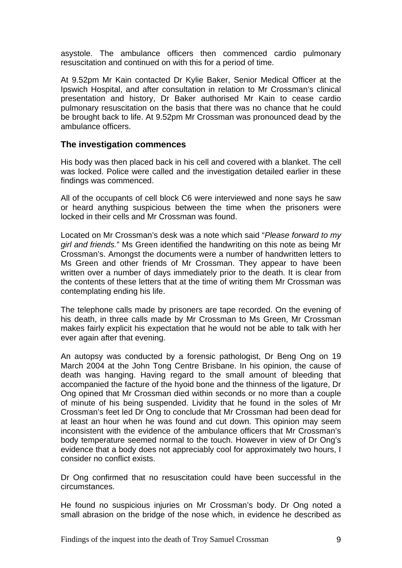<span id="page-10-0"></span>asystole. The ambulance officers then commenced cardio pulmonary resuscitation and continued on with this for a period of time.

At 9.52pm Mr Kain contacted Dr Kylie Baker, Senior Medical Officer at the Ipswich Hospital, and after consultation in relation to Mr Crossman's clinical presentation and history, Dr Baker authorised Mr Kain to cease cardio pulmonary resuscitation on the basis that there was no chance that he could be brought back to life. At 9.52pm Mr Crossman was pronounced dead by the ambulance officers.

#### **The investigation commences**

His body was then placed back in his cell and covered with a blanket. The cell was locked. Police were called and the investigation detailed earlier in these findings was commenced.

All of the occupants of cell block C6 were interviewed and none says he saw or heard anything suspicious between the time when the prisoners were locked in their cells and Mr Crossman was found.

Located on Mr Crossman's desk was a note which said "*Please forward to my girl and friends.*" Ms Green identified the handwriting on this note as being Mr Crossman's. Amongst the documents were a number of handwritten letters to Ms Green and other friends of Mr Crossman. They appear to have been written over a number of days immediately prior to the death. It is clear from the contents of these letters that at the time of writing them Mr Crossman was contemplating ending his life.

The telephone calls made by prisoners are tape recorded. On the evening of his death, in three calls made by Mr Crossman to Ms Green, Mr Crossman makes fairly explicit his expectation that he would not be able to talk with her ever again after that evening.

An autopsy was conducted by a forensic pathologist, Dr Beng Ong on 19 March 2004 at the John Tong Centre Brisbane. In his opinion, the cause of death was hanging. Having regard to the small amount of bleeding that accompanied the facture of the hyoid bone and the thinness of the ligature, Dr Ong opined that Mr Crossman died within seconds or no more than a couple of minute of his being suspended. Lividity that he found in the soles of Mr Crossman's feet led Dr Ong to conclude that Mr Crossman had been dead for at least an hour when he was found and cut down. This opinion may seem inconsistent with the evidence of the ambulance officers that Mr Crossman's body temperature seemed normal to the touch. However in view of Dr Ong's evidence that a body does not appreciably cool for approximately two hours, I consider no conflict exists.

Dr Ong confirmed that no resuscitation could have been successful in the circumstances.

He found no suspicious injuries on Mr Crossman's body. Dr Ong noted a small abrasion on the bridge of the nose which, in evidence he described as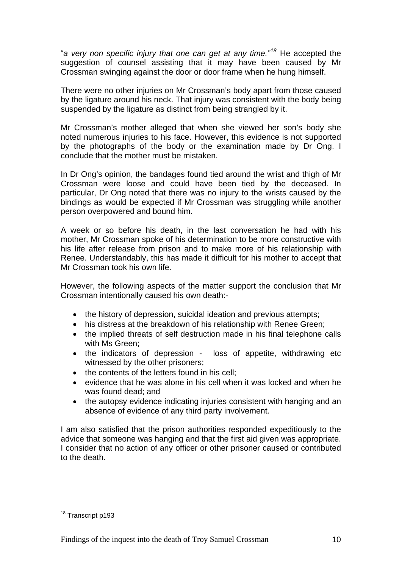"*a very non specific injury that one can get at any time."[18](#page-11-0)* He accepted the suggestion of counsel assisting that it may have been caused by Mr Crossman swinging against the door or door frame when he hung himself.

There were no other injuries on Mr Crossman's body apart from those caused by the ligature around his neck. That injury was consistent with the body being suspended by the ligature as distinct from being strangled by it.

Mr Crossman's mother alleged that when she viewed her son's body she noted numerous injuries to his face. However, this evidence is not supported by the photographs of the body or the examination made by Dr Ong. I conclude that the mother must be mistaken.

In Dr Ong's opinion, the bandages found tied around the wrist and thigh of Mr Crossman were loose and could have been tied by the deceased. In particular, Dr Ong noted that there was no injury to the wrists caused by the bindings as would be expected if Mr Crossman was struggling while another person overpowered and bound him.

A week or so before his death, in the last conversation he had with his mother, Mr Crossman spoke of his determination to be more constructive with his life after release from prison and to make more of his relationship with Renee. Understandably, this has made it difficult for his mother to accept that Mr Crossman took his own life.

However, the following aspects of the matter support the conclusion that Mr Crossman intentionally caused his own death:-

- the history of depression, suicidal ideation and previous attempts;
- his distress at the breakdown of his relationship with Renee Green;
- the implied threats of self destruction made in his final telephone calls with Ms Green;
- the indicators of depression loss of appetite, withdrawing etc witnessed by the other prisoners;
- the contents of the letters found in his cell:
- evidence that he was alone in his cell when it was locked and when he was found dead; and
- the autopsy evidence indicating injuries consistent with hanging and an absence of evidence of any third party involvement.

I am also satisfied that the prison authorities responded expeditiously to the advice that someone was hanging and that the first aid given was appropriate. I consider that no action of any officer or other prisoner caused or contributed to the death.

<span id="page-11-0"></span><sup>1</sup> <sup>18</sup> Transcript p193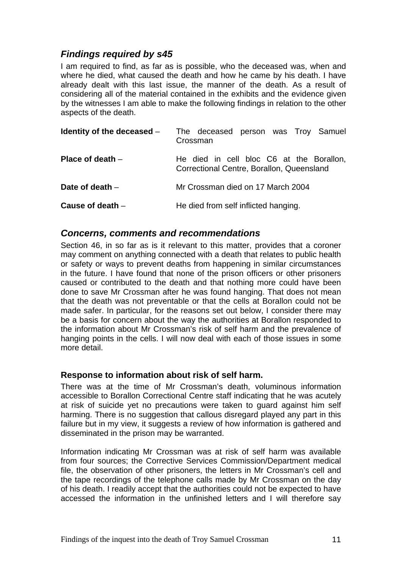## <span id="page-12-0"></span>*Findings required by s45*

I am required to find, as far as is possible, who the deceased was, when and where he died, what caused the death and how he came by his death. I have already dealt with this last issue, the manner of the death. As a result of considering all of the material contained in the exhibits and the evidence given by the witnesses I am able to make the following findings in relation to the other aspects of the death.

| Identity of the deceased $-$ | The deceased person was Troy Samuel<br>Crossman                                       |
|------------------------------|---------------------------------------------------------------------------------------|
| Place of death $-$           | He died in cell bloc C6 at the Borallon,<br>Correctional Centre, Borallon, Queensland |
| Date of death $-$            | Mr Crossman died on 17 March 2004                                                     |
| Cause of death $-$           | He died from self inflicted hanging.                                                  |

#### *Concerns, comments and recommendations*

Section 46, in so far as is it relevant to this matter, provides that a coroner may comment on anything connected with a death that relates to public health or safety or ways to prevent deaths from happening in similar circumstances in the future. I have found that none of the prison officers or other prisoners caused or contributed to the death and that nothing more could have been done to save Mr Crossman after he was found hanging. That does not mean that the death was not preventable or that the cells at Borallon could not be made safer. In particular, for the reasons set out below, I consider there may be a basis for concern about the way the authorities at Borallon responded to the information about Mr Crossman's risk of self harm and the prevalence of hanging points in the cells. I will now deal with each of those issues in some more detail.

#### **Response to information about risk of self harm.**

There was at the time of Mr Crossman's death, voluminous information accessible to Borallon Correctional Centre staff indicating that he was acutely at risk of suicide yet no precautions were taken to guard against him self harming. There is no suggestion that callous disregard played any part in this failure but in my view, it suggests a review of how information is gathered and disseminated in the prison may be warranted.

Information indicating Mr Crossman was at risk of self harm was available from four sources; the Corrective Services Commission/Department medical file, the observation of other prisoners, the letters in Mr Crossman's cell and the tape recordings of the telephone calls made by Mr Crossman on the day of his death. I readily accept that the authorities could not be expected to have accessed the information in the unfinished letters and I will therefore say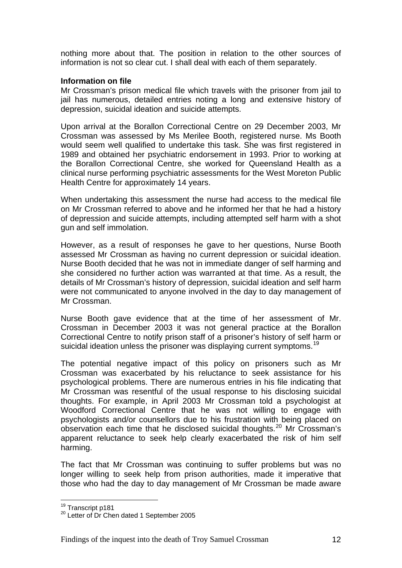nothing more about that. The position in relation to the other sources of information is not so clear cut. I shall deal with each of them separately.

#### **Information on file**

Mr Crossman's prison medical file which travels with the prisoner from jail to jail has numerous, detailed entries noting a long and extensive history of depression, suicidal ideation and suicide attempts.

Upon arrival at the Borallon Correctional Centre on 29 December 2003, Mr Crossman was assessed by Ms Merilee Booth, registered nurse. Ms Booth would seem well qualified to undertake this task. She was first registered in 1989 and obtained her psychiatric endorsement in 1993. Prior to working at the Borallon Correctional Centre, she worked for Queensland Health as a clinical nurse performing psychiatric assessments for the West Moreton Public Health Centre for approximately 14 years.

When undertaking this assessment the nurse had access to the medical file on Mr Crossman referred to above and he informed her that he had a history of depression and suicide attempts, including attempted self harm with a shot gun and self immolation.

However, as a result of responses he gave to her questions, Nurse Booth assessed Mr Crossman as having no current depression or suicidal ideation. Nurse Booth decided that he was not in immediate danger of self harming and she considered no further action was warranted at that time. As a result, the details of Mr Crossman's history of depression, suicidal ideation and self harm were not communicated to anyone involved in the day to day management of Mr Crossman.

Nurse Booth gave evidence that at the time of her assessment of Mr. Crossman in December 2003 it was not general practice at the Borallon Correctional Centre to notify prison staff of a prisoner's history of self harm or suicidal ideation unless the prisoner was displaying current symptoms.<sup>[19](#page-13-0)</sup>

The potential negative impact of this policy on prisoners such as Mr Crossman was exacerbated by his reluctance to seek assistance for his psychological problems. There are numerous entries in his file indicating that Mr Crossman was resentful of the usual response to his disclosing suicidal thoughts. For example, in April 2003 Mr Crossman told a psychologist at Woodford Correctional Centre that he was not willing to engage with psychologists and/or counsellors due to his frustration with being placed on  $\overrightarrow{a}$  observation each time that he disclosed suicidal thoughts.<sup>[20](#page-13-1)</sup> Mr Crossman's apparent reluctance to seek help clearly exacerbated the risk of him self harming.

The fact that Mr Crossman was continuing to suffer problems but was no longer willing to seek help from prison authorities, made it imperative that those who had the day to day management of Mr Crossman be made aware

<span id="page-13-0"></span><sup>&</sup>lt;sup>19</sup> Transcript p181

<span id="page-13-1"></span> $20$  Letter of Dr Chen dated 1 September 2005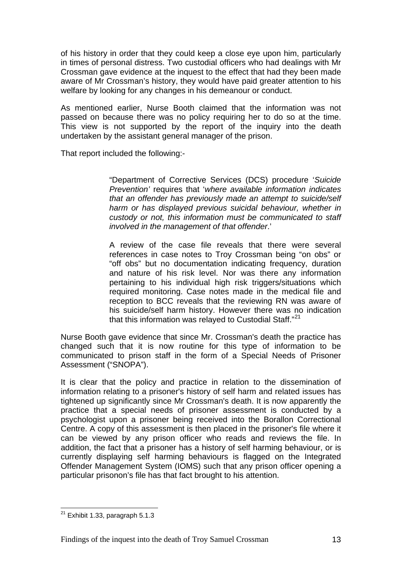of his history in order that they could keep a close eye upon him, particularly in times of personal distress. Two custodial officers who had dealings with Mr Crossman gave evidence at the inquest to the effect that had they been made aware of Mr Crossman's history, they would have paid greater attention to his welfare by looking for any changes in his demeanour or conduct.

As mentioned earlier, Nurse Booth claimed that the information was not passed on because there was no policy requiring her to do so at the time. This view is not supported by the report of the inquiry into the death undertaken by the assistant general manager of the prison.

That report included the following:-

"Department of Corrective Services (DCS) procedure '*Suicide Prevention'* requires that '*where available information indicates that an offender has previously made an attempt to suicide/self harm or has displayed previous suicidal behaviour, whether in custody or not, this information must be communicated to staff involved in the management of that offender*.'

A review of the case file reveals that there were several references in case notes to Troy Crossman being "on obs" or "off obs" but no documentation indicating frequency, duration and nature of his risk level. Nor was there any information pertaining to his individual high risk triggers/situations which required monitoring. Case notes made in the medical file and reception to BCC reveals that the reviewing RN was aware of his suicide/self harm history. However there was no indication that this information was relayed to Custodial Staff."<sup>[21](#page-14-0)</sup>

Nurse Booth gave evidence that since Mr. Crossman's death the practice has changed such that it is now routine for this type of information to be communicated to prison staff in the form of a Special Needs of Prisoner Assessment ("SNOPA").

It is clear that the policy and practice in relation to the dissemination of information relating to a prisoner's history of self harm and related issues has tightened up significantly since Mr Crossman's death. It is now apparently the practice that a special needs of prisoner assessment is conducted by a psychologist upon a prisoner being received into the Borallon Correctional Centre. A copy of this assessment is then placed in the prisoner's file where it can be viewed by any prison officer who reads and reviews the file. In addition, the fact that a prisoner has a history of self harming behaviour, or is currently displaying self harming behaviours is flagged on the Integrated Offender Management System (IOMS) such that any prison officer opening a particular prisonon's file has that fact brought to his attention.

<span id="page-14-0"></span><sup>1</sup>  $^{21}$  Exhibit 1.33, paragraph 5.1.3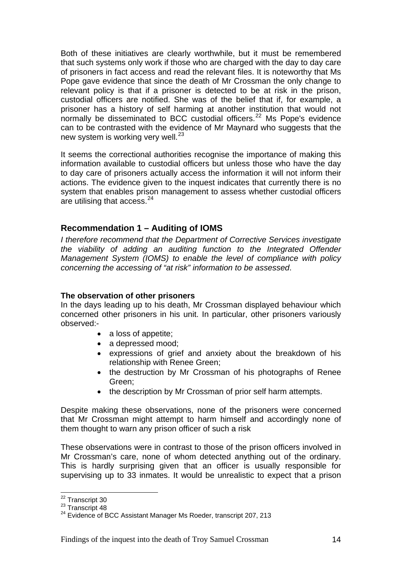<span id="page-15-0"></span>Both of these initiatives are clearly worthwhile, but it must be remembered that such systems only work if those who are charged with the day to day care of prisoners in fact access and read the relevant files. It is noteworthy that Ms Pope gave evidence that since the death of Mr Crossman the only change to relevant policy is that if a prisoner is detected to be at risk in the prison, custodial officers are notified. She was of the belief that if, for example, a prisoner has a history of self harming at another institution that would not normally be disseminated to BCC custodial officers.<sup>[22](#page-15-1)</sup> Ms Pope's evidence can to be contrasted with the evidence of Mr Maynard who suggests that the new system is working very well.<sup>[23](#page-15-2)</sup>

It seems the correctional authorities recognise the importance of making this information available to custodial officers but unless those who have the day to day care of prisoners actually access the information it will not inform their actions. The evidence given to the inquest indicates that currently there is no system that enables prison management to assess whether custodial officers are utilising that access.<sup>[24](#page-15-3)</sup>

#### **Recommendation 1 – Auditing of IOMS**

*I therefore recommend that the Department of Corrective Services investigate the viability of adding an auditing function to the Integrated Offender Management System (IOMS) to enable the level of compliance with policy concerning the accessing of "at risk" information to be assessed*.

#### **The observation of other prisoners**

In the days leading up to his death, Mr Crossman displayed behaviour which concerned other prisoners in his unit. In particular, other prisoners variously observed:-

- a loss of appetite;
- a depressed mood:
- expressions of grief and anxiety about the breakdown of his relationship with Renee Green;
- the destruction by Mr Crossman of his photographs of Renee Green;
- the description by Mr Crossman of prior self harm attempts.

Despite making these observations, none of the prisoners were concerned that Mr Crossman might attempt to harm himself and accordingly none of them thought to warn any prison officer of such a risk

These observations were in contrast to those of the prison officers involved in Mr Crossman's care, none of whom detected anything out of the ordinary. This is hardly surprising given that an officer is usually responsible for supervising up to 33 inmates. It would be unrealistic to expect that a prison

<span id="page-15-1"></span><sup>&</sup>lt;sup>22</sup> Transcript 30

<span id="page-15-3"></span><span id="page-15-2"></span><sup>23</sup> Transcript 32<br>
<sup>23</sup> Transcript 48<br>
<sup>24</sup> Evidence of BCC Assistant Manager Ms Roeder, transcript 207, 213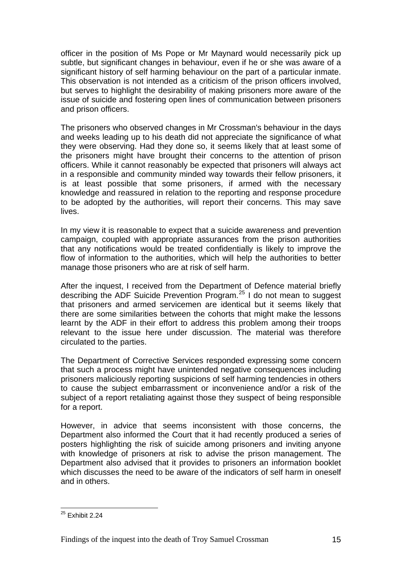officer in the position of Ms Pope or Mr Maynard would necessarily pick up subtle, but significant changes in behaviour, even if he or she was aware of a significant history of self harming behaviour on the part of a particular inmate. This observation is not intended as a criticism of the prison officers involved, but serves to highlight the desirability of making prisoners more aware of the issue of suicide and fostering open lines of communication between prisoners and prison officers.

The prisoners who observed changes in Mr Crossman's behaviour in the days and weeks leading up to his death did not appreciate the significance of what they were observing. Had they done so, it seems likely that at least some of the prisoners might have brought their concerns to the attention of prison officers. While it cannot reasonably be expected that prisoners will always act in a responsible and community minded way towards their fellow prisoners, it is at least possible that some prisoners, if armed with the necessary knowledge and reassured in relation to the reporting and response procedure to be adopted by the authorities, will report their concerns. This may save lives.

In my view it is reasonable to expect that a suicide awareness and prevention campaign, coupled with appropriate assurances from the prison authorities that any notifications would be treated confidentially is likely to improve the flow of information to the authorities, which will help the authorities to better manage those prisoners who are at risk of self harm.

After the inquest, I received from the Department of Defence material briefly describing the ADF Suicide Prevention Program.[25](#page-16-0) I do not mean to suggest that prisoners and armed servicemen are identical but it seems likely that there are some similarities between the cohorts that might make the lessons learnt by the ADF in their effort to address this problem among their troops relevant to the issue here under discussion. The material was therefore circulated to the parties.

The Department of Corrective Services responded expressing some concern that such a process might have unintended negative consequences including prisoners maliciously reporting suspicions of self harming tendencies in others to cause the subject embarrassment or inconvenience and/or a risk of the subject of a report retaliating against those they suspect of being responsible for a report.

However, in advice that seems inconsistent with those concerns, the Department also informed the Court that it had recently produced a series of posters highlighting the risk of suicide among prisoners and inviting anyone with knowledge of prisoners at risk to advise the prison management. The Department also advised that it provides to prisoners an information booklet which discusses the need to be aware of the indicators of self harm in oneself and in others.

<span id="page-16-0"></span><sup>1</sup>  $25$  Exhibit 2.24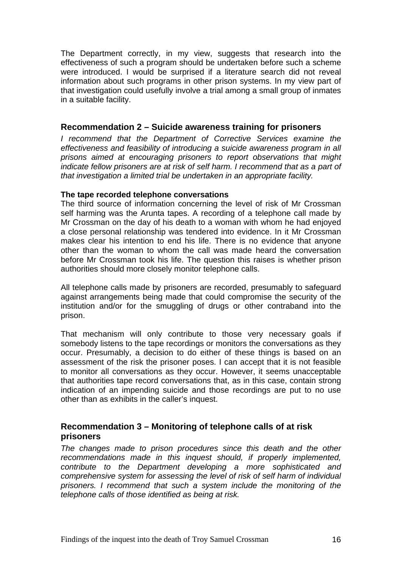<span id="page-17-0"></span>The Department correctly, in my view, suggests that research into the effectiveness of such a program should be undertaken before such a scheme were introduced. I would be surprised if a literature search did not reveal information about such programs in other prison systems. In my view part of that investigation could usefully involve a trial among a small group of inmates in a suitable facility.

#### **Recommendation 2 – Suicide awareness training for prisoners**

*I recommend that the Department of Corrective Services examine the effectiveness and feasibility of introducing a suicide awareness program in all prisons aimed at encouraging prisoners to report observations that might indicate fellow prisoners are at risk of self harm. I recommend that as a part of that investigation a limited trial be undertaken in an appropriate facility.* 

#### **The tape recorded telephone conversations**

The third source of information concerning the level of risk of Mr Crossman self harming was the Arunta tapes. A recording of a telephone call made by Mr Crossman on the day of his death to a woman with whom he had enjoyed a close personal relationship was tendered into evidence. In it Mr Crossman makes clear his intention to end his life. There is no evidence that anyone other than the woman to whom the call was made heard the conversation before Mr Crossman took his life. The question this raises is whether prison authorities should more closely monitor telephone calls.

All telephone calls made by prisoners are recorded, presumably to safeguard against arrangements being made that could compromise the security of the institution and/or for the smuggling of drugs or other contraband into the prison.

That mechanism will only contribute to those very necessary goals if somebody listens to the tape recordings or monitors the conversations as they occur. Presumably, a decision to do either of these things is based on an assessment of the risk the prisoner poses. I can accept that it is not feasible to monitor all conversations as they occur. However, it seems unacceptable that authorities tape record conversations that, as in this case, contain strong indication of an impending suicide and those recordings are put to no use other than as exhibits in the caller's inquest.

## **Recommendation 3 – Monitoring of telephone calls of at risk prisoners**

*The changes made to prison procedures since this death and the other recommendations made in this inquest should, if properly implemented, contribute to the Department developing a more sophisticated and comprehensive system for assessing the level of risk of self harm of individual prisoners. I recommend that such a system include the monitoring of the telephone calls of those identified as being at risk.*